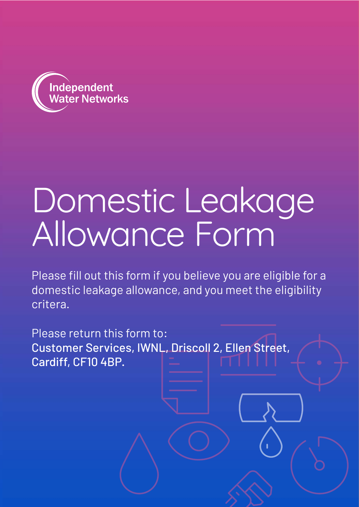

# Domestic Leakage Allowance Form

Please fill out this form if you believe you are eligible for a domestic leakage allowance, and you meet the eligibility critera.

Please return this form to: Customer Services, IWNL, Driscoll 2, Ellen Street, Cardiff, CF10 4BP.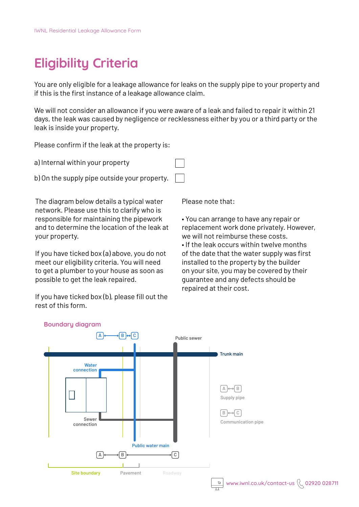# **Eligibility Criteria**

You are only eligible for a leakage allowance for leaks on the supply pipe to your property and if this is the first instance of a leakage allowance claim.

We will not consider an allowance if you were aware of a leak and failed to repair it within 21 days, the leak was caused by negligence or recklessness either by you or a third party or the leak is inside your property.

Please confirm if the leak at the property is:

a) Internal within your property

b) On the supply pipe outside your property.

The diagram below details a typical water network. Please use this to clarify who is responsible for maintaining the pipework and to determine the location of the leak at your property.

If you have ticked box (a) above, you do not meet our eligibility criteria. You will need to get a plumber to your house as soon as possible to get the leak repaired.

If you have ticked box (b), please fill out the rest of this form.

Please note that:

• You can arrange to have any repair or replacement work done privately. However, we will not reimburse these costs. • If the leak occurs within twelve months of the date that the water supply was first installed to the property by the builder on your site, you may be covered by their guarantee and any defects should be repaired at their cost.



**Boundary diagram**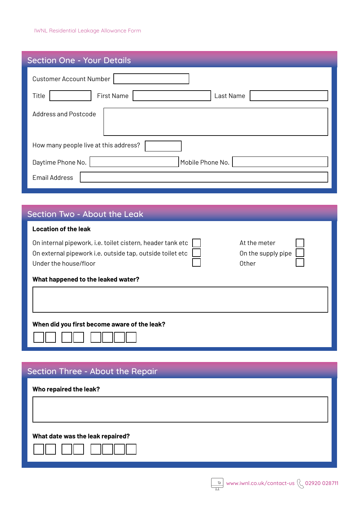| <b>Section One - Your Details</b>       |  |  |  |  |  |  |  |  |
|-----------------------------------------|--|--|--|--|--|--|--|--|
| <b>Customer Account Number</b>          |  |  |  |  |  |  |  |  |
| <b>First Name</b><br>Last Name<br>Title |  |  |  |  |  |  |  |  |
| <b>Address and Postcode</b>             |  |  |  |  |  |  |  |  |
| How many people live at this address?   |  |  |  |  |  |  |  |  |
| Mobile Phone No.<br>Daytime Phone No.   |  |  |  |  |  |  |  |  |
| <b>Email Address</b>                    |  |  |  |  |  |  |  |  |

### Section Two - About the Leak

| <b>Location of the leak</b> |
|-----------------------------|
|-----------------------------|

| On internal pipework, i.e. toilet cistern, header tank etc | At the meter         |  |
|------------------------------------------------------------|----------------------|--|
| On external pipework i.e. outside tap, outside toilet etc  | On the supply pipe [ |  |
| Under the house/floor                                      | Other                |  |
|                                                            |                      |  |

#### **What happened to the leaked water?**

#### **When did you first become aware of the leak?**

## Section Three - About the Repair

| Who repaired the leak?           |  |
|----------------------------------|--|
|                                  |  |
|                                  |  |
|                                  |  |
| What date was the leak repaired? |  |
|                                  |  |